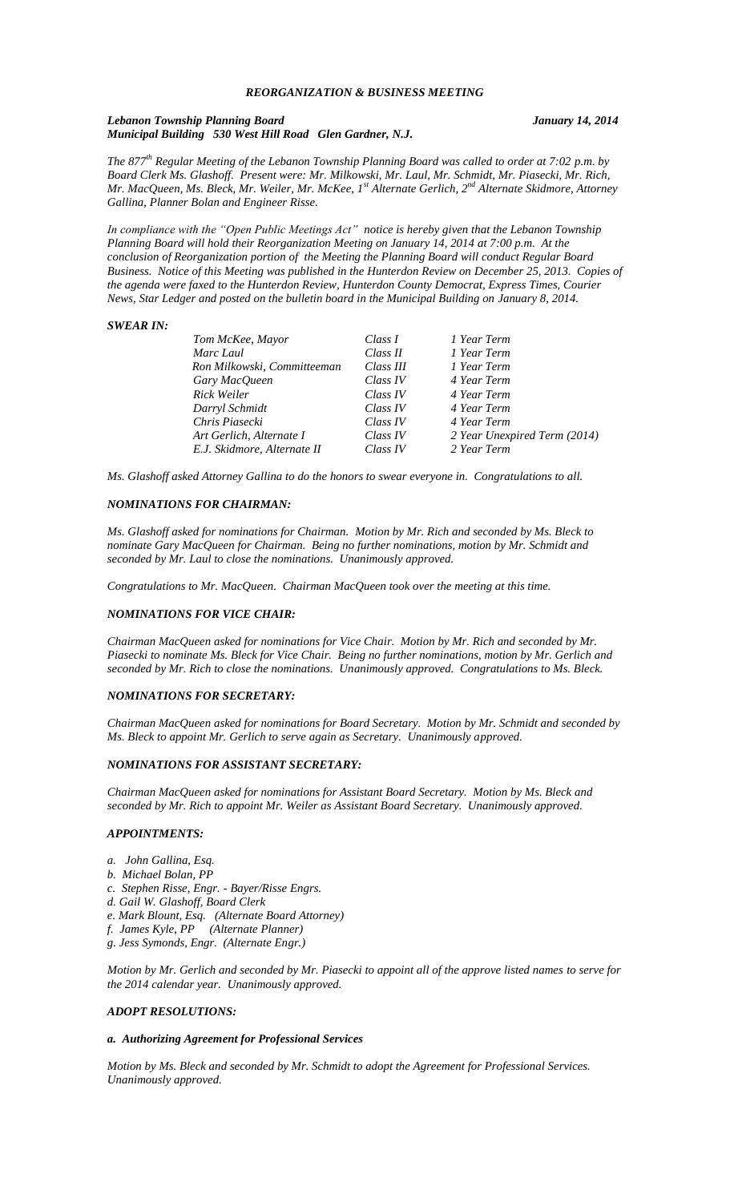### *REORGANIZATION & BUSINESS MEETING*

#### *Lebanon Township Planning Board January 14, 2014 Municipal Building 530 West Hill Road Glen Gardner, N.J.*

*The 877th Regular Meeting of the Lebanon Township Planning Board was called to order at 7:02 p.m. by Board Clerk Ms. Glashoff. Present were: Mr. Milkowski, Mr. Laul, Mr. Schmidt, Mr. Piasecki, Mr. Rich, Mr. MacQueen, Ms. Bleck, Mr. Weiler, Mr. McKee, 1st Alternate Gerlich, 2nd Alternate Skidmore, Attorney Gallina, Planner Bolan and Engineer Risse.*

*In compliance with the "Open Public Meetings Act" notice is hereby given that the Lebanon Township Planning Board will hold their Reorganization Meeting on January 14, 2014 at 7:00 p.m. At the conclusion of Reorganization portion of the Meeting the Planning Board will conduct Regular Board Business. Notice of this Meeting was published in the Hunterdon Review on December 25, 2013. Copies of the agenda were faxed to the Hunterdon Review, Hunterdon County Democrat, Express Times, Courier News, Star Ledger and posted on the bulletin board in the Municipal Building on January 8, 2014.*

### *SWEAR IN:*

| Tom McKee, Mayor            | Class I   | 1 Year Term                  |
|-----------------------------|-----------|------------------------------|
| Marc Laul                   | Class II  | 1 Year Term                  |
| Ron Milkowski, Committeeman | Class III | 1 Year Term                  |
| Gary MacQueen               | Class IV  | 4 Year Term                  |
| Rick Weiler                 | Class IV  | 4 Year Term                  |
| Darryl Schmidt              | Class IV  | 4 Year Term                  |
| Chris Piasecki              | Class IV  | 4 Year Term                  |
| Art Gerlich, Alternate I    | Class IV  | 2 Year Unexpired Term (2014) |
| E.J. Skidmore, Alternate II | Class IV  | 2 Year Term                  |
|                             |           |                              |

*Ms. Glashoff asked Attorney Gallina to do the honors to swear everyone in. Congratulations to all.*

#### *NOMINATIONS FOR CHAIRMAN:*

*Ms. Glashoff asked for nominations for Chairman. Motion by Mr. Rich and seconded by Ms. Bleck to nominate Gary MacQueen for Chairman. Being no further nominations, motion by Mr. Schmidt and seconded by Mr. Laul to close the nominations. Unanimously approved.*

*Congratulations to Mr. MacQueen. Chairman MacQueen took over the meeting at this time.*

### *NOMINATIONS FOR VICE CHAIR:*

*Chairman MacQueen asked for nominations for Vice Chair. Motion by Mr. Rich and seconded by Mr. Piasecki to nominate Ms. Bleck for Vice Chair. Being no further nominations, motion by Mr. Gerlich and seconded by Mr. Rich to close the nominations. Unanimously approved. Congratulations to Ms. Bleck.*

#### *NOMINATIONS FOR SECRETARY:*

*Chairman MacQueen asked for nominations for Board Secretary. Motion by Mr. Schmidt and seconded by Ms. Bleck to appoint Mr. Gerlich to serve again as Secretary. Unanimously approved.* 

### *NOMINATIONS FOR ASSISTANT SECRETARY:*

*Chairman MacQueen asked for nominations for Assistant Board Secretary. Motion by Ms. Bleck and seconded by Mr. Rich to appoint Mr. Weiler as Assistant Board Secretary. Unanimously approved.*

#### *APPOINTMENTS:*

- *a. John Gallina, Esq.*
- *b. Michael Bolan, PP*
- *c. Stephen Risse, Engr. - Bayer/Risse Engrs.*
- *d. Gail W. Glashoff, Board Clerk*
- *e. Mark Blount, Esq. (Alternate Board Attorney)*
- *f. James Kyle, PP (Alternate Planner)*
- *g. Jess Symonds, Engr. (Alternate Engr.)*

*Motion by Mr. Gerlich and seconded by Mr. Piasecki to appoint all of the approve listed names to serve for the 2014 calendar year. Unanimously approved.*

#### *ADOPT RESOLUTIONS:*

### *a. Authorizing Agreement for Professional Services*

*Motion by Ms. Bleck and seconded by Mr. Schmidt to adopt the Agreement for Professional Services. Unanimously approved.*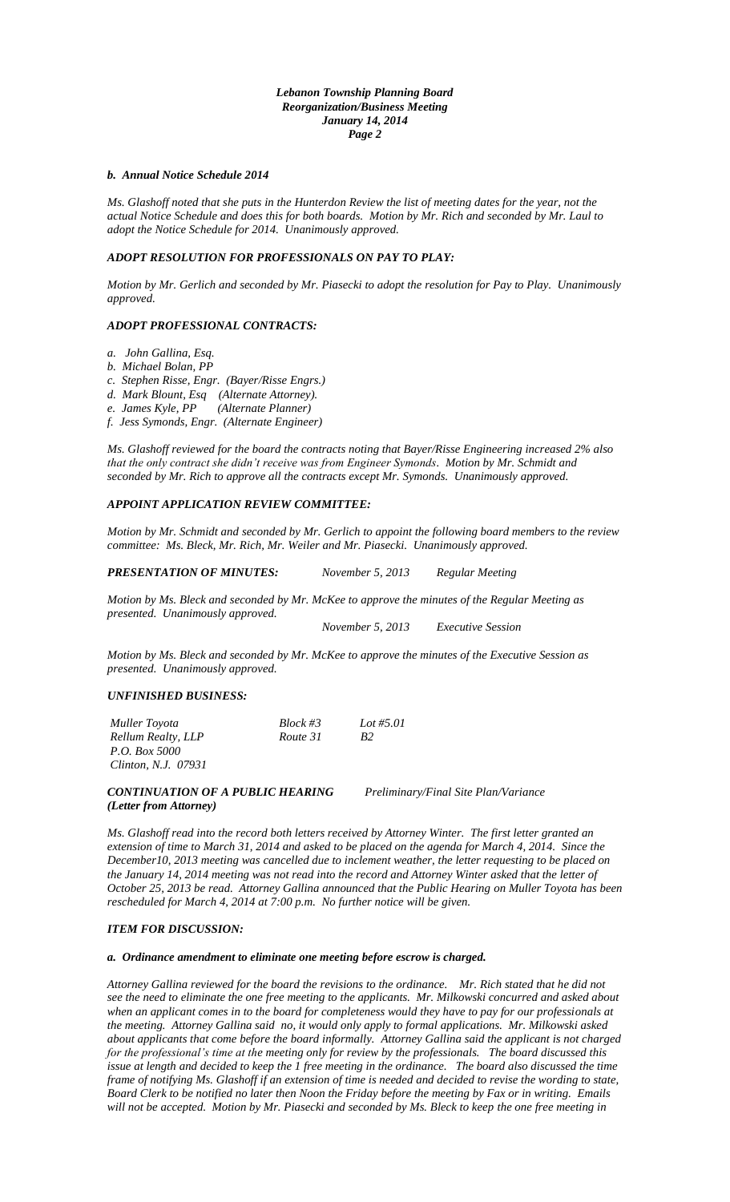### *Lebanon Township Planning Board Reorganization/Business Meeting January 14, 2014 Page 2*

#### *b. Annual Notice Schedule 2014*

*Ms. Glashoff noted that she puts in the Hunterdon Review the list of meeting dates for the year, not the actual Notice Schedule and does this for both boards. Motion by Mr. Rich and seconded by Mr. Laul to adopt the Notice Schedule for 2014. Unanimously approved.*

### *ADOPT RESOLUTION FOR PROFESSIONALS ON PAY TO PLAY:*

*Motion by Mr. Gerlich and seconded by Mr. Piasecki to adopt the resolution for Pay to Play. Unanimously approved.*

## *ADOPT PROFESSIONAL CONTRACTS:*

- *a. John Gallina, Esq.*
- *b. Michael Bolan, PP*
- *c. Stephen Risse, Engr. (Bayer/Risse Engrs.)*
- *d. Mark Blount, Esq (Alternate Attorney).*
- *e. James Kyle, PP (Alternate Planner)*
- *f. Jess Symonds, Engr. (Alternate Engineer)*

*Ms. Glashoff reviewed for the board the contracts noting that Bayer/Risse Engineering increased 2% also that the only contract she didn't receive was from Engineer Symonds. Motion by Mr. Schmidt and seconded by Mr. Rich to approve all the contracts except Mr. Symonds. Unanimously approved.*

## *APPOINT APPLICATION REVIEW COMMITTEE:*

*Motion by Mr. Schmidt and seconded by Mr. Gerlich to appoint the following board members to the review committee: Ms. Bleck, Mr. Rich, Mr. Weiler and Mr. Piasecki. Unanimously approved.*

*PRESENTATION OF MINUTES: November 5, 2013 Regular Meeting*

*Motion by Ms. Bleck and seconded by Mr. McKee to approve the minutes of the Regular Meeting as presented. Unanimously approved.*

*November 5, 2013 Executive Session*

*Motion by Ms. Bleck and seconded by Mr. McKee to approve the minutes of the Executive Session as presented. Unanimously approved.*

## *UNFINISHED BUSINESS:*

| Muller Toyota        | $Block \#3$ | Lot #5.01             |
|----------------------|-------------|-----------------------|
| Rellum Realty, LLP   | Route 31    | <b>B</b> <sub>2</sub> |
| <i>P.O. Box 5000</i> |             |                       |
| Clinton, N.J. 07931  |             |                       |
|                      |             |                       |

*CONTINUATION OF A PUBLIC HEARING Preliminary/Final Site Plan/Variance (Letter from Attorney)*

*Ms. Glashoff read into the record both letters received by Attorney Winter. The first letter granted an extension of time to March 31, 2014 and asked to be placed on the agenda for March 4, 2014. Since the December10, 2013 meeting was cancelled due to inclement weather, the letter requesting to be placed on the January 14, 2014 meeting was not read into the record and Attorney Winter asked that the letter of October 25, 2013 be read. Attorney Gallina announced that the Public Hearing on Muller Toyota has been rescheduled for March 4, 2014 at 7:00 p.m. No further notice will be given.*

## *ITEM FOR DISCUSSION:*

#### *a. Ordinance amendment to eliminate one meeting before escrow is charged.*

*Attorney Gallina reviewed for the board the revisions to the ordinance. Mr. Rich stated that he did not see the need to eliminate the one free meeting to the applicants. Mr. Milkowski concurred and asked about when an applicant comes in to the board for completeness would they have to pay for our professionals at the meeting. Attorney Gallina said no, it would only apply to formal applications. Mr. Milkowski asked about applicants that come before the board informally. Attorney Gallina said the applicant is not charged for the professional's time at the meeting only for review by the professionals. The board discussed this issue at length and decided to keep the 1 free meeting in the ordinance. The board also discussed the time frame of notifying Ms. Glashoff if an extension of time is needed and decided to revise the wording to state, Board Clerk to be notified no later then Noon the Friday before the meeting by Fax or in writing. Emails will not be accepted. Motion by Mr. Piasecki and seconded by Ms. Bleck to keep the one free meeting in*